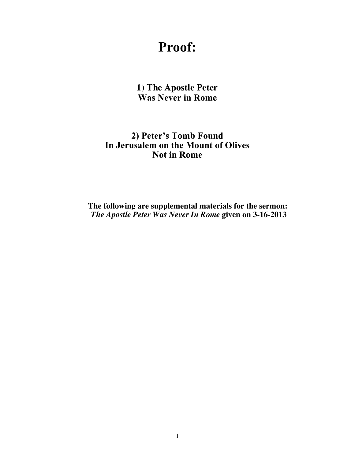# **Proof:**

**1) The Apostle Peter Was Never in Rome**

# **2) Peter's Tomb Found In Jerusalem on the Mount of Olives Not in Rome**

**The following are supplemental materials for the sermon:** *The Apostle Peter Was Never In Rome* **given on 3-16-2013**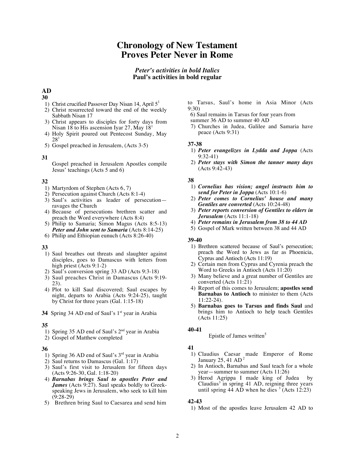# **Chronology of New Testament Proves Peter Never in Rome**

# *Peter's activities in bold Italics* **Paul's activities in bold regular**

# **AD**

## **30**

- 1) Christ crucified Passover Day Nisan 14, April  $5<sup>1</sup>$
- 2) Christ resurrected toward the end of the weekly Sabbath Nisan 17
- 3) Christ appears to disciples for forty days from Nisan 18 to His ascension Iyar 27, May  $18<sup>1</sup>$
- 4) Holy Spirit poured out Pentecost Sunday, May 28<sup>1</sup>
- 5) Gospel preached in Jerusalem, (Acts 3-5)

### **31**

Gospel preached in Jerusalem Apostles compile Jesus' teachings (Acts 5 and 6)

# **32**

- 1) Martyrdom of Stephen (Acts 6, 7)
- 2) Persecution against Church (Acts 8:1-4)
- 3) Saul's activities as leader of persecution ravages the Church
- 4) Because of persecutions brethren scatter and preach the Word everywhere (Acts 8:4)
- 5) Philip to Samaria; Simon Magus (Acts 8:5-13) *Peter and John sent to Samaria* (Acts 8:14-25)
- 6) Philip and Ethiopian eunuch (Acts 8:26-40)

# **33**

- 1) Saul breathes out threats and slaughter against disciples, goes to Damascus with letters from high priest (Acts 9:1-2)
- 2) Saul's conversion spring 33 AD (Acts 9:3-18)
- 3) Saul preaches Christ in Damascus (Acts 9:19- 23).
- 4) Plot to kill Saul discovered; Saul escapes by night, departs to Arabia (Acts 9:24-25), taught by Christ for three years (Gal. 1:15-18)
- **34** Spring 34 AD end of Saul's 1<sup>st</sup> year in Arabia

#### **35**

- 1) Spring 35 AD end of Saul's 2<sup>nd</sup> year in Arabia
- 2) Gospel of Matthew completed

# **36**

- 1) Spring 36 AD end of Saul's 3rd year in Arabia
- 2) Saul returns to Damascus (Gal. 1:17)
- 3) Saul's first visit to Jerusalem for fifteen days (Acts 9:26-30, Gal. 1:18-20)
- 4) *Barnabas brings Saul to apostles Peter and James* (Acts 9:27). Saul speaks boldly to Greekspeaking Jews in Jerusalem, who seek to kill him (9:28-29)
- 5) Brethren bring Saul to Caesarea and send him
- to Tarsus, Saul's home in Asia Minor (Acts  $9.30$
- 6) Saul remains in Tarsus for four years from
- summer 36 AD to summer 40 AD
- 7) Churches in Judea, Galilee and Samaria have peace (Acts 9:31)

#### **37-38**

- 1) *Peter evangelizes in Lydda and Joppa* (Acts 9:32-41)
- 2) *Peter stays with Simon the tanner many days* (Acts 9:42-43)

### **38**

- 1) *Cornelius has vision; angel instructs him to send for Peter in Joppa* (Acts 10:1-6)
- 2) *Peter comes to Cornelius' house and many Gentiles are converted* (Acts 10:24-48)
- 3) *Peter reports conversion of Gentiles to elders in Jerusalem* (Acts 11:1-18)
- 4) *Peter remains in Jerusalem from 38 to 44 AD*
- 5) Gospel of Mark written between 38 and 44 AD

#### **39-40**

- 1) Brethren scattered because of Saul's persecution; preach the Word to Jews as far as Phoenicia, Cyprus and Antioch (Acts 11:19)
- 2) Certain men from Cyprus and Cyrenia preach the Word to Greeks in Antioch (Acts 11:20)
- 3) Many believe and a great number of Gentiles are converted (Acts 11:21)
- 4) Report of this comes to Jerusalem; **apostles send Barnabas to Antioch** to minister to them (Acts 11:22-24).
- 5) **Barnabas goes to Tarsus and finds Saul** and brings him to Antioch to help teach Gentiles (Acts 11:25)

#### **40-41**

Epistle of James written<sup>5</sup>

# **41**

- 1) Claudius Caesar made Emperor of Rome January  $25, 41$  AD<sup>2</sup>
- 2) In Antioch, Barnabas and Saul teach for a whole year—summer to summer (Acts 11:26)
- 3) Herod Agrippa I made king of Judea by Claudius<sup>3</sup> in spring  $41$  AD, reigning three years until spring  $4\overline{4}$  AD when he dies  $\overline{3}$  (Acts 12:23)

# **42-43**

1) Most of the apostles leave Jerusalem 42 AD to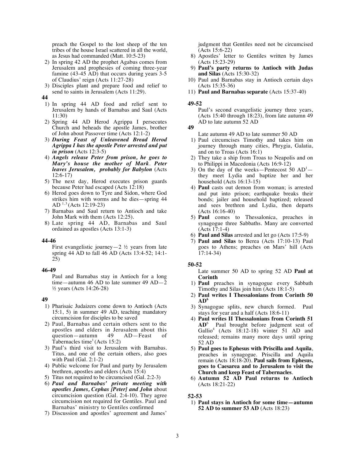preach the Gospel to the lost sheep of the ten tribes of the house Israel scattered in all the world, as Jesus had commanded (Matt. 10:5-23)

- 2) In spring 42 AD the prophet Agabus comes from Jerusalem and prophesies of coming three-year famine (43-45 AD) that occurs during years 3-5 of Claudius' reign (Acts 11:27-28)
- 3) Disciples plant and prepare food and relief to send to saints in Jerusalem (Acts 11:29).

**44**

- 1) In spring 44 AD food and relief sent to Jerusalem by hands of Barnabas and Saul (Acts 11:30)
- 2) Spring 44 AD Herod Agrippa I persecutes Church and beheads the apostle James, brother of John about Passover time (Acts 12:1-2)
- 3) *During Feast of Unleavened Bread Herod Agrippa I has the apostle Peter arrested and put in prison* (Acts 12:3-5)
- 4) *Angels release Peter from prison, he goes to Mary's house the mother of Mark*. *Peter leaves Jerusalem, probably for Babylon* (Acts 12:6-17)
- 5) The next day, Herod executes prison guards because Peter had escaped (Acts 12:18)
- 6) Herod goes down to Tyre and Sidon, where God strikes him with worms and he dies—spring 44 AD  $1,3$  (Acts 12:19-23)
- 7) Barnabas and Saul return to Antioch and take John Mark with them (Acts 12:25).
- 8) Late spring 44 AD, Barnabas and Saul ordained as apostles (Acts 13:1-3)

#### **44-46**

First evangelistic journey—2  $\frac{1}{2}$  years from late spring 44 AD to fall 46 AD (Acts 13:4-52; 14:1- 25)

#### **46-49**

Paul and Barnabas stay in Antioch for a long time—autumn 46 AD to late summer 49 AD—2 ½ years (Acts 14:26-28)

#### **49**

- 1) Pharisaic Judaizers come down to Antioch (Acts 15:1, 5) in summer 49 AD, teaching mandatory circumcision for disciples to be saved
- 2) Paul, Barnabas and certain others sent to the apostles and elders in Jerusalem about this<br>question—autumn 49 AD—Feast of question—autumn 49 AD—Feast of Tabernacles time<sup>1</sup> (Acts 15:2)
- 3) Paul's third visit to Jerusalem with Barnabas. Titus, and one of the certain others, also goes with Paul (Gal. 2:1-2)
- 4) Public welcome for Paul and party by Jerusalem brethren, apostles and elders (Acts 15:4)
- 5) Titus not required to be circumcised (Gal. 2:2-3)
- 6) *Paul and Barnabas' private meeting with apostles James, Cephas [Peter] and John* about circumcision question (Gal. 2:4-10). They agree circumcision not required for Gentiles. Paul and Barnabas' ministry to Gentiles confirmed
- 7) Discussion and apostles' agreement and James'

judgment that Gentiles need not be circumcised (Acts 15:6-22)

- 8) Apostles' letter to Gentiles written by James (Acts 15:23-29)
- 9) **Paul's party returns to Antioch with Judas and Silas** (Acts 15:30-32)
- 10) Paul and Barnabas stay in Antioch certain days (Acts 15:35-36)
- 11) **Paul and Barnabas separate** (Acts 15:37-40)

#### **49-52**

Paul's second evangelistic journey three years, (Acts 15:40 through 18:23), from late autumn 49 AD to late autumn 52 AD

Late autumn 49 AD to late summer 50 AD

- 1) Paul circumcises Timothy and takes him on journey through many cities, Phrygia, Galatia, and on to Troas (Acts 16:1)
- 2) They take a ship from Troas to Neapolis and on to Philippi in Macedonia (Acts 16:9-12)
- 3) On the day of the weeks--Pentecost  $50$   $AD<sup>1</sup>$ they meet Lydia and baptize her and her household (Acts 16:13-15)
- 4) **Paul** casts out demon from woman; is arrested and put into prison; earthquake breaks their bonds; jailer and household baptized; released and sees brethren and Lydia, then departs (Acts 16:16-40)
- 5) **Paul** comes to Thessalonica, preaches in synagogue three Sabbaths. Many are converted (Acts 17:1-4)
- 6) **Paul and Silas** arrested and let go (Acts 17:5-9)
- 7) **Paul and Silas** to Berea (Acts 17:10-13) Paul goes to Athens; preaches on Mars' hill (Acts 17:14-34)

#### **50-52**

Late summer 50 AD to spring 52 AD **Paul at Corinth**

- 1) **Paul** preaches in synagogue every Sabbath Timothy and Silas join him (Acts 18:1-5)
- 2) **Paul writes I Thessalonians from Corinth 50 AD<sup>6</sup>**
- 3) Synagogue splits, new church formed. Paul stays for year and a half (Acts 18:6-11)
- 4) **Paul writes II Thessalonians from Corinth 51 AD**<sup>6</sup> Paul brought before judgment seat of Gallio<sup>4</sup> (Acts 18:12-18) winter 51 AD and released; remains many more days until spring 52 AD
- 5) **Paul goes to Ephesus with Priscilla and Aquila**, preaches in synagogue. Priscilla and Aquila remain (Acts 18:18-20). **Paul sails from Ephesus, goes to Caesarea and to Jerusalem to visit the Church and keep Feast of Tabernacles**.
- 6) **Autumn 52 AD Paul returns to Antioch** (Acts 18:21-22)

### **52-53**

 1) **Paul stays in Antioch for some time—autumn 52 AD to summer 53 AD** (Acts 18:23)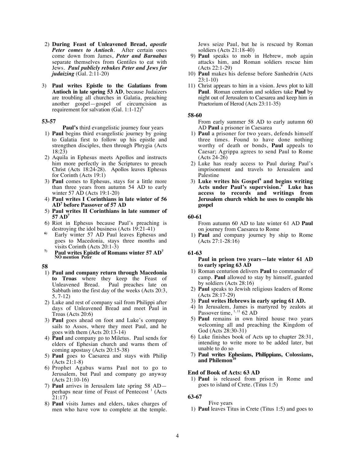- 2) **During Feast of Unleavened Bread,** *apostle Peter comes to Antioch*. After certain ones come down from James, *Peter and Barnabas*  separate themselves from Gentiles to eat with Jews. *Paul publicly rebukes Peter and Jews for judaizing* (Gal. 2:11-20)
- 3) **Paul writes Epistle to the Galatians from Antioch in late spring 53 AD**, because Judaizers are troubling all churches in Galatia, preaching another gospel—gospel of circumcision as requirement for salvation (Gal. 1:1-12)<sup>9</sup>

#### **53-57**

**Paul's** third evangelistic journey four years

- 1) **Paul** begins third evangelistic journey by going to Galatia first to follow up his epistle and strengthen disciples, then through Phrygia (Acts 18:23)
- 2) Aquila in Ephesus meets Apollos and instructs him more perfectly in the Scriptures to preach Christ (Acts 18:24-28). Apollos leaves Ephesus for Corinth (Acts 19:1)
- 3) **Paul** comes to Ephesus, stays for a little more than three years from autumn 54 AD to early winter 57 AD (Acts 19:1-20)
- 4) **Paul writes I Corinthians in late winter of 56 AD<sup>7</sup> before Passover of 57 AD**
- 5) **Paul writes II Corinthians in late summer of 57 AD<sup>7</sup>**
- 6) Riot in Ephesus because Paul's preaching is destroying the idol business (Acts 19:21-41)
- **6)** Early winter 57 AD Paul leaves Ephesus and goes to Macedonia, stays three months and visits Corinth (Acts 20:1-3)
- **7) Paul writes Epistle of Romans winter 57 AD<sup>7</sup> NO mention Peter**

#### **58**

- 1) **Paul and company return through Macedonia to Troas** where they keep the Feast of Unleavened Bread. Paul preaches late on Sabbath into the first day of the weeks (Acts 20:3, 5, 7-12)
- 2) Luke and rest of company sail from Philippi after days of Unleavened Bread and meet Paul in Troas (Acts 20:6)
- 3) **Paul** goes ahead on foot and Luke's company sails to Assos, where they meet Paul, and he goes with them (Acts 20:13-14)
- 4) **Paul** and company go to Miletus. Paul sends for elders of Ephesian church and warns them of coming apostasy (Acts 20:15-38)
- 5) **Paul** goes to Caesarea and stays with Philip (Acts 21:1-8)
- 6) Prophet Agabus warns Paul not to go to Jerusalem, but Paul and company go anyway (Acts 21:10-16)
- 7) **Paul** arrives in Jerusalem late spring 58 AD perhaps near time of Feast of Pentecost<sup>1</sup> (Acts 21:17)
- 8) **Paul** visits James and elders, takes charges of men who have vow to complete at the temple.

Jews seize Paul, but he is rescued by Roman soldiers (Acts 21:18-40)

- 9) **Paul** speaks to mob in Hebrew, mob again attacks him, and Roman soldiers rescue him (Acts 22:1-29)
- 10) **Paul** makes his defense before Sanhedrin (Acts 23:1-10)
- 11) Christ appears to him in a vision. Jews plot to kill **Paul**. Roman centurion and soldiers take **Paul** by night out of Jerusalem to Caesarea and keep him in Praetorium of Herod (Acts 23:11-35)

#### **58-60**

From early summer 58 AD to early autumn 60 AD **Paul** a prisoner in Caesarea

- 1) **Paul** a prisoner for two years, defends himself three times. Found to have done nothing worthy of death or bonds, **Paul** appeals to Caesar; Agrippa agrees to send Paul to Rome (Acts 24-26)
- 2) Luke has ready access to Paul during Paul's imprisonment and travels to Jerusalem and Palestine
- 3) **Luke writes his Gospel<sup>9</sup> and begins writing Acts under Paul's supervision.<sup>9</sup> Luke has access to records and writings from Jerusalem church which he uses to compile his gospel**

#### **60-61**

From autumn 60 AD to late winter 61 AD **Paul**  on journey from Caesarea to Rome

 1) **Paul** and company journey by ship to Rome (Acts 27:1-28:16)

#### **61-63**

#### **Paul in prison two years—late winter 61 AD to early spring 63 AD**

- 1) Roman centurion delivers **Paul** to commander of camp. **Paul** allowed to stay by himself, guarded by soldiers (Acts 28:16)
- 2) **Paul** speaks to Jewish religious leaders of Rome (Acts 28:17-29)
- 3) **Paul writes Hebrews in early spring 61 AD.**
- 4) In Jerusalem, James is martyred by zealots at Passover time, <sup>1, 11</sup> 62 AD
- 5) **Paul** remains in own hired house two years welcoming all and preaching the Kingdom of God (Acts 28:30-31)
- 6) Luke finishes book of Acts up to chapter 28:31, intending to write more to be added later, but unable to do so
- 7) **Paul writes Ephesians, Philippians, Colossians, and Philemon<sup>10</sup>**

#### **End of Book of Acts: 63 AD**

 1) **Paul** is released from prison in Rome and goes to island of Crete. (Titus 1:5)

# **63-67**

Five years

1) **Paul** leaves Titus in Crete (Titus 1:5) and goes to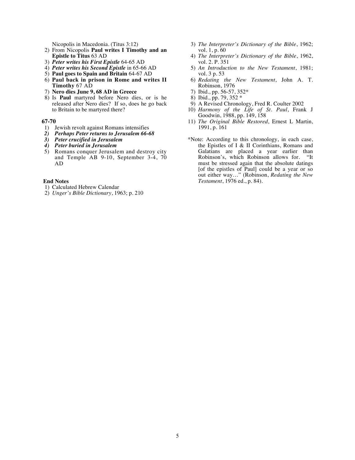Nicopolis in Macedonia. (Titus 3:12)

- 2) From Nicopolis **Paul writes I Timothy and an Epistle to Titus** 63 AD
- 3) *Peter writes his First Epistle* 64-65 AD
- 4) *Peter writes his Second Epistle* in 65-66 AD
- 5) **Paul goes to Spain and Britain** 64-67 AD
- 6) **Paul back in prison in Rome and writes II Timothy** 67 AD
- 7) **Nero dies June 9, 68 AD in Greece**
- 8) Is **Paul** martyred before Nero dies, or is he released after Nero dies? If so, does he go back to Britain to be martyred there?

#### **67-70**

- 1) Jewish revolt against Romans intensifies
- *2) Perhaps Peter returns to Jerusalem 66-68*
- *3) Peter crucified in Jerusalem*
- *4) Peter buried in Jerusalem*
- 5) Romans conquer Jerusalem and destroy city and Temple AB 9-10, September 3-4, 70 AD

#### **End Notes**

- 1) Calculated Hebrew Calendar
- 2) *Unger's Bible Dictionary*, 1963; p. 210
- 3) *The Interpreter's Dictionary of the Bible*, 1962; vol. 1, p. 60
- 4) *The Interpreter's Dictionary of the Bible*, 1962, vol. 2. P. 351
- 5) *An Introduction to the New Testament*, 1981; vol. 3 p. 53
- 6) *Redating the New Testament*, John A. T. Robinson, 1976
- 7) Ibid., pp. 56-57, 352\*
- 8) Ibid., pp. 79,  $352 *$
- 9) A Revised Chronology, Fred R. Coulter 2002
- 10) *Harmony of the Life of St. Paul*, Frank J Goodwin, 1988, pp. 149, 158
- 11) *The Original Bible Restored*, Ernest L Martin, 1991, p. 161
- \*Note: According to this chronology, in each case, the Epistles of I & II Corinthians, Romans and Galatians are placed a year earlier than Robinson's, which Robinson allows for. "It must be stressed again that the absolute datings [of the epistles of Paul] could be a year or so out either way…" (Robinson, *Redating the New Testament*, 1976 ed., p. 84).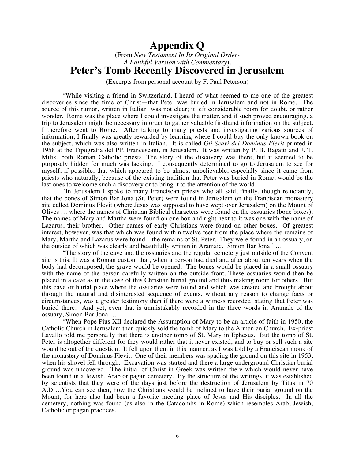# **Appendix Q**

(From *New Testament In Its Original Order-A Faithful Version with Commentary*). **Peter's Tomb Recently Discovered in Jerusalem**

(Excerpts from personal account by F. Paul Peterson)

"While visiting a friend in Switzerland, I heard of what seemed to me one of the greatest discoveries since the time of Christ—that Peter was buried in Jerusalem and not in Rome. The source of this rumor, written in Italian, was not clear; it left considerable room for doubt, or rather wonder. Rome was the place where I could investigate the matter, and if such proved encouraging, a trip to Jerusalem might be necessary in order to gather valuable firsthand information on the subject. I therefore went to Rome. After talking to many priests and investigating various sources of information, I finally was greatly rewarded by learning where I could buy the only known book on the subject, which was also written in Italian. It is called *Gli Scavi del Dominus Flevit* printed in 1958 at the Tipografia del PP. Francescani, in Jerusalem. It was written by P. B. Bagatti and J. T. Milik, both Roman Catholic priests. The story of the discovery was there, but it seemed to be purposely hidden for much was lacking. I consequently determined to go to Jerusalem to see for myself, if possible, that which appeared to be almost unbelievable, especially since it came from priests who naturally, because of the existing tradition that Peter was buried in Rome, would be the last ones to welcome such a discovery or to bring it to the attention of the world.

"In Jerusalem I spoke to many Franciscan priests who all said, finally, though reluctantly, that the bones of Simon Bar Jona (St. Peter) were found in Jerusalem on the Franciscan monastery site called Dominus Flevit (where Jesus was supposed to have wept over Jerusalem) on the Mount of Olives … where the names of Christian Biblical characters were found on the ossuaries (bone boxes). The names of Mary and Martha were found on one box and right next to it was one with the name of Lazarus, their brother. Other names of early Christians were found on other boxes. Of greatest interest, however, was that which was found within twelve feet from the place where the remains of Mary, Martha and Lazarus were found—the remains of St. Peter. They were found in an ossuary, on the outside of which was clearly and beautifully written in Aramaic, 'Simon Bar Jona.' …

"The story of the cave and the ossuaries and the regular cemetery just outside of the Convent site is this: It was a Roman custom that, when a person had died and after about ten years when the body had decomposed, the grave would be opened. The bones would be placed in a small ossuary with the name of the person carefully written on the outside front. These ossuaries would then be placed in a cave as in the case of this Christian burial ground and thus making room for others. But this cave or burial place where the ossuaries were found and which was created and brought about through the natural and disinterested sequence of events, without any reason to change facts or circumstances, was a greater testimony than if there were a witness recorded, stating that Peter was buried there. And yet, even that is unmistakably recorded in the three words in Aramaic of the ossuary, Simon Bar Jona….

"When Pope Pius XII declared the Assumption of Mary to be an article of faith in 1950, the Catholic Church in Jerusalem then quickly sold the tomb of Mary to the Armenian Church. Ex-priest Lavallo told me personally that there is another tomb of St. Mary in Ephesus. But the tomb of St. Peter is altogether different for they would rather that it never existed, and to buy or sell such a site would be out of the question. It fell upon them in this manner, as I was told by a Franciscan monk of the monastery of Dominus Flevit. One of their members was spading the ground on this site in 1953, when his shovel fell through. Excavation was started and there a large underground Christian burial ground was uncovered. The initial of Christ in Greek was written there which would never have been found in a Jewish, Arab or pagan cemetery. By the structure of the writings, it was established by scientists that they were of the days just before the destruction of Jerusalem by Titus in 70 A.D….You can see then, how the Christians would be inclined to have their burial ground on the Mount, for here also had been a favorite meeting place of Jesus and His disciples. In all the cemetery, nothing was found (as also in the Catacombs in Rome) which resembles Arab, Jewish, Catholic or pagan practices….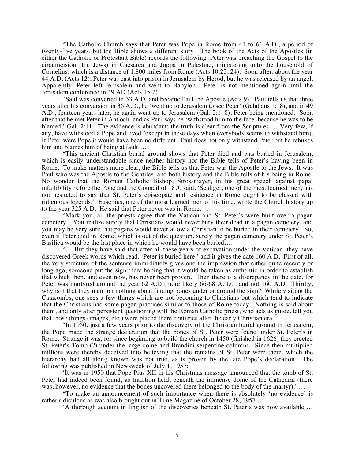"The Catholic Church says that Peter was Pope in Rome from 41 to 66 A.D., a period of twenty-five years, but the Bible shows a different story. The book of the Acts of the Apostles (in either the Catholic or Protestant Bible) records the following: Peter was preaching the Gospel to the circumcision (the Jews) in Caesarea and Joppa in Palestine, ministering unto the household of Cornelius, which is a distance of 1,800 miles from Rome (Acts 10:23, 24). Soon after, about the year 44 A.D. (Acts 12), Peter was cast into prison in Jerusalem by Herod, but he was released by an angel. Apparently, Peter left Jerusalem and went to Babylon. Peter is not mentioned again until the Jerusalem conference in 49 AD (Acts 15:7).

"Saul was converted in 33 A.D. and became Paul the Apostle (Acts 9). Paul tells us that three years after his conversion in 36 A.D., he 'went up to Jerusalem to see Peter' (Galatians 1:18), and in 49 A.D., fourteen years later, he again went up to Jerusalem (Gal. 2:1, 8), Peter being mentioned. Soon after that he met Peter in Antioch, and as Paul says he 'withstood him to the face, because he was to be blamed,' Gal. 2:11. The evidence is abundant; the truth is clear from the Scriptures … Very few, if any, have withstood a Pope and lived (except in these days when everybody seems to withstand him). If Peter were Pope it would have been no different. Paul does not only withstand Peter but he rebukes him and blames him of being at fault….

"This ancient Christian burial ground shows that Peter died and was buried in Jerusalem, which is easily understandable since neither history nor the Bible tells of Peter's having been in Rome. To make matters more clear, the Bible tells us that Peter was the Apostle to the Jews. It was Paul who was the Apostle to the Gentiles, and both history and the Bible tells of his being in Rome. No wonder that the Roman Catholic Bishop, Strossniayer, in his great speech against papal infallibility before the Pope and the Council of 1870 said, 'Scaliger, one of the most learned men, has not hesitated to say that St. Peter's episcopate and residence in Rome ought to be classed with ridiculous legends.' Eusebius, one of the most learned men of his time, wrote the Church history up to the year 325 A.D. He said that Peter never was in Rome….

"Mark you, all the priests agree that the Vatican and St. Peter's were built over a pagan cemetery....You realize surely that Christians would never bury their dead in a pagan cemetery, and you may be very sure that pagans would never allow a Christian to be buried in their cemetery. So, even if Peter died in Rome, which is out of the question, surely the pagan cemetery under St. Peter's Basilica would be the last place in which he would have been buried….

"… But they have said that after all these years of excavation under the Vatican, they have discovered Greek words which read, 'Peter is buried here,' and it gives the date 160 A.D. First of all, the very structure of the sentence immediately gives one the impression that either quite recently or long ago, someone put the sign there hoping that it would be taken as authentic in order to establish that which then, and even now, has never been proven. Then there is a discrepancy in the date, for Peter was martyred around the year 62 A.D [more likely 66-68 A. D.]. and not 160 A.D. Thirdly, why is it that they mention nothing about finding bones under or around the sign? While visiting the Catacombs, one sees a few things which are not becoming to Christians but which tend to indicate that the Christians had some pagan practices similar to those of Rome today. Nothing is said about them, and only after persistent questioning will the Roman Catholic priest, who acts as guide, tell you that those things (images, etc.) were placed there centuries after the early Christian era.

"In 1950, just a few years prior to the discovery of the Christian burial ground in Jerusalem, the Pope made the strange declaration that the bones of St. Peter were found under St. Peter's in Rome. Strange it was, for since beginning to build the church in 1450 (finished in 1626) they erected St. Peter's Tomb (?) under the large dome and Brandini serpentine columns. Since then multiplied millions were thereby deceived into believing that the remains of St. Peter were there, which the hierarchy had all along known was not true, as is proven by the late Pope's declaration. The following was published in Newsweek of July 1, 1957:

'It was in 1950 that Pope Pius XII in his Christmas message announced that the tomb of St. Peter had indeed been found, as tradition held, beneath the immense dome of the Cathedral (there was, however, no evidence that the bones uncovered there belonged to the body of the martyr).' ...

"To make an announcement of such importance when there is absolutely 'no evidence' is rather ridiculous as was also brought out in Time Magazine of October 28, 1957 …

'A thorough account in English of the discoveries beneath St. Peter's was now available …